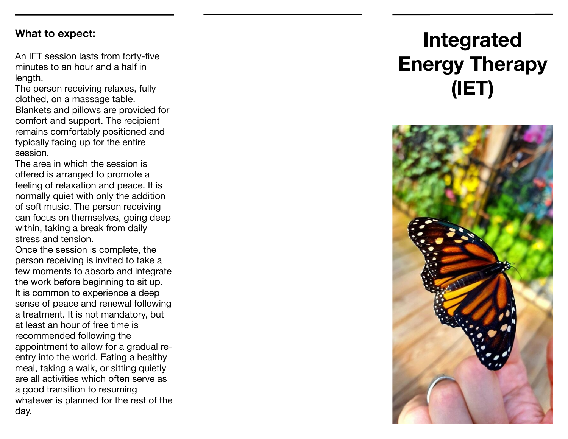#### **What to expect:**

An IET session lasts from forty-five minutes to an hour and a half in length.

The person receiving relaxes, fully clothed, on a massage table. Blankets and pillows are provided for comfort and support. The recipient remains comfortably positioned and typically facing up for the entire session.

The area in which the session is offered is arranged to promote a feeling of relaxation and peace. It is normally quiet with only the addition of soft music. The person receiving can focus on themselves, going deep within, taking a break from daily stress and tension.

Once the session is complete, the person receiving is invited to take a few moments to absorb and integrate the work before beginning to sit up. It is common to experience a deep sense of peace and renewal following a treatment. It is not mandatory, but at least an hour of free time is recommended following the appointment to allow for a gradual reentry into the world. Eating a healthy meal, taking a walk, or sitting quietly are all activities which often serve as a good transition to resuming whatever is planned for the rest of the day.

# **Integrated Energy Therapy (IET)**